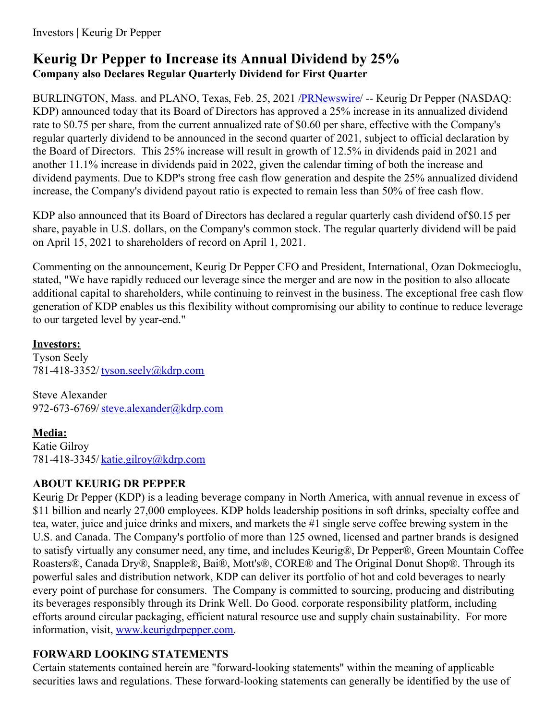# **Keurig Dr Pepper to Increase its Annual Dividend by 25% Company also Declares Regular Quarterly Dividend for First Quarter**

BURLINGTON, Mass. and PLANO, Texas, Feb. 25, 2021 [/PRNewswire](http://www.prnewswire.com/)/ -- Keurig Dr Pepper (NASDAQ: KDP) announced today that its Board of Directors has approved a 25% increase in its annualized dividend rate to \$0.75 per share, from the current annualized rate of \$0.60 per share, effective with the Company's regular quarterly dividend to be announced in the second quarter of 2021, subject to official declaration by the Board of Directors. This 25% increase will result in growth of 12.5% in dividends paid in 2021 and another 11.1% increase in dividends paid in 2022, given the calendar timing of both the increase and dividend payments. Due to KDP's strong free cash flow generation and despite the 25% annualized dividend increase, the Company's dividend payout ratio is expected to remain less than 50% of free cash flow.

KDP also announced that its Board of Directors has declared a regular quarterly cash dividend of\$0.15 per share, payable in U.S. dollars, on the Company's common stock. The regular quarterly dividend will be paid on April 15, 2021 to shareholders of record on April 1, 2021.

Commenting on the announcement, Keurig Dr Pepper CFO and President, International, Ozan Dokmecioglu, stated, "We have rapidly reduced our leverage since the merger and are now in the position to also allocate additional capital to shareholders, while continuing to reinvest in the business. The exceptional free cash flow generation of KDP enables us this flexibility without compromising our ability to continue to reduce leverage to our targeted level by year-end."

### **Investors:**

Tyson Seely 781-418-3352/ [tyson.seely@kdrp.com](mailto:tyson.seely@kdrp.com)

Steve Alexander 972-673-6769/[steve.alexander@kdrp.com](mailto:steve.alexander@kdrp.com)

## **Media:**

Katie Gilroy 781-418-3345/ [katie.gilroy@kdrp.com](mailto:katie.gilroy@kdrp.com)

## **ABOUT KEURIG DR PEPPER**

Keurig Dr Pepper (KDP) is a leading beverage company in North America, with annual revenue in excess of \$11 billion and nearly 27,000 employees. KDP holds leadership positions in soft drinks, specialty coffee and tea, water, juice and juice drinks and mixers, and markets the #1 single serve coffee brewing system in the U.S. and Canada. The Company's portfolio of more than 125 owned, licensed and partner brands is designed to satisfy virtually any consumer need, any time, and includes Keurig®, Dr Pepper®, Green Mountain Coffee Roasters®, Canada Dry®, Snapple®, Bai®, Mott's®, CORE® and The Original Donut Shop®. Through its powerful sales and distribution network, KDP can deliver its portfolio of hot and cold beverages to nearly every point of purchase for consumers. The Company is committed to sourcing, producing and distributing its beverages responsibly through its Drink Well. Do Good. corporate responsibility platform, including efforts around circular packaging, efficient natural resource use and supply chain sustainability. For more information, visit, [www.keurigdrpepper.com](https://c212.net/c/link/?t=0&l=en&o=3078222-1&h=1416840383&u=http%3A%2F%2Fwww.keurigdrpepper.com%2F&a=www.keurigdrpepper.com).

## **FORWARD LOOKING STATEMENTS**

Certain statements contained herein are "forward-looking statements" within the meaning of applicable securities laws and regulations. These forward-looking statements can generally be identified by the use of